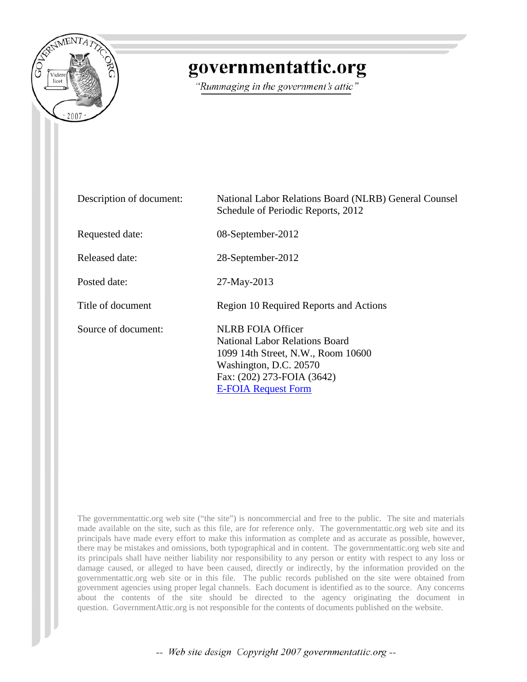

## **governmentattic.org**

*"Rummaging in the government s attic "* 

| Description of document: | National Labor Relations Board (NLRB) General Counsel<br>Schedule of Periodic Reports, 2012                                                                                            |
|--------------------------|----------------------------------------------------------------------------------------------------------------------------------------------------------------------------------------|
| Requested date:          | 08-September-2012                                                                                                                                                                      |
| Released date:           | 28-September-2012                                                                                                                                                                      |
| Posted date:             | 27-May-2013                                                                                                                                                                            |
| Title of document        | Region 10 Required Reports and Actions                                                                                                                                                 |
| Source of document:      | <b>NLRB FOIA Officer</b><br>National Labor Relations Board<br>1099 14th Street, N.W., Room 10600<br>Washington, D.C. 20570<br>Fax: (202) 273-FOIA (3642)<br><b>E-FOIA Request Form</b> |

The governmentattic.org web site ("the site") is noncommercial and free to the public. The site and materials made available on the site, such as this file, are for reference only. The governmentattic.org web site and its principals have made every effort to make this information as complete and as accurate as possible, however, there may be mistakes and omissions, both typographical and in content. The governmentattic.org web site and its principals shall have neither liability nor responsibility to any person or entity with respect to any loss or damage caused, or alleged to have been caused, directly or indirectly, by the information provided on the governmentattic.org web site or in this file. The public records published on the site were obtained from government agencies using proper legal channels. Each document is identified as to the source. Any concerns about the contents of the site should be directed to the agency originating the document in question. GovernmentAttic.org is not responsible for the contents of documents published on the website.

-- *Web site design Copyright 2007 governmentattic.org* --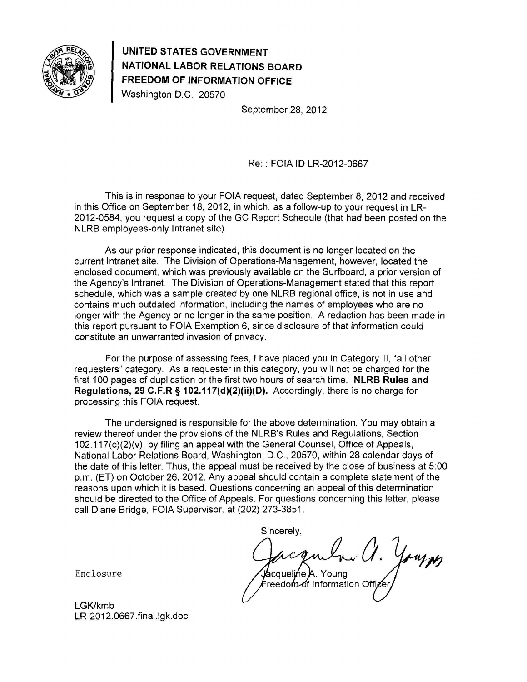

## **UNITED STATES GOVERNMENT NATIONAL LABOR RELATIONS BOARD FREEDOM OF INFORMATION OFFICE**

Washington D.C. 20570

September 28, 2012

Re: : FOIA ID LR-2012-0667

This is in response to your FOIA request, dated September 8, 2012 and received in this Office on September 18, 2012, in which, as a follow-up to your request in LR-2012-0584, you request a copy of the GC Report Schedule (that had been posted on the NLRB employees-only Intranet site).

As our prior response indicated, this document is no longer located on the current Intranet site. The Division of Operations-Management, however, located the enclosed document, which was previously available on the Surfboard, a prior version of the Agency's Intranet. The Division of Operations-Management stated that this report schedule, which was a sample created by one NLRB regional office, is not in use and contains much outdated information, including the names of employees who are no longer with the Agency or no longer in the same position. A redaction has been made in this report pursuant to FOIA Exemption 6, since disclosure of that information could constitute an unwarranted invasion of privacy.

For the purpose of assessing fees, I have placed you in Category Ill, "all other requesters" category. As a requester in this category, you will not be charged for the first 100 pages of duplication or the first two hours of search time. **NLRB Rules and Regulations, 29 C.F.R § 102.117(d)(2)(ii)(D).** Accordingly, there is no charge for processing this FOIA request.

The undersigned is responsible for the above determination. You may obtain a review thereof under the provisions of the NLRB's Rules and Regulations, Section 102.117(c)(2)(v), by filing an appeal with the General Counsel, Office of Appeals, National Labor Relations Board, Washington, D.C., 20570, within 28 calendar days of the date of this letter. Thus, the appeal must be received by the close of business at 5:00 p.m. (ET) on October 26, 2012. Any appeal should contain a complete statement of the reasons upon which it is based. Questions concerning an appeal of this determination should be directed to the Office of Appeals. For questions concerning this letter, please call Diane Bridge, FOIA Supervisor, at (202) 273-3851.

Sincerely,

*0.* acqueline A. Young reedom of Information Offic

Enclosure

LGK/kmb LR-2012.0667.final.lgk.doc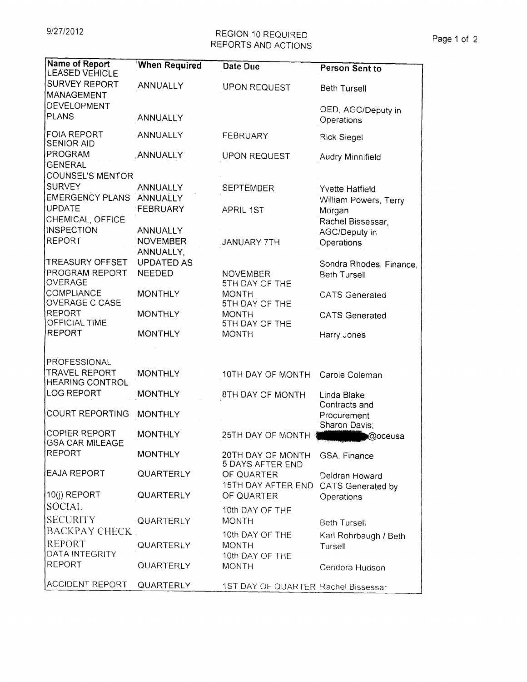## 9/27/2012 REGION 10 REQUIRED Page 1 of 2 REPORTS AND ACTIONS

| <b>Name of Report</b><br><b>LEASED VEHICLE</b> | <b>When Required</b> | Date Due                            | Person Sent to                         |
|------------------------------------------------|----------------------|-------------------------------------|----------------------------------------|
| SURVEY REPORT<br>MANAGEMENT                    | ANNUALLY             | <b>UPON REQUEST</b>                 | <b>Beth Tursell</b>                    |
|                                                |                      |                                     |                                        |
| DEVELOPMENT<br>PLANS                           | <b>ANNUALLY</b>      |                                     | OED, AGC/Deputy in<br>Operations       |
| FOIA REPORT<br><b>SENIOR AID</b>               | ANNUALLY             | FEBRUARY                            | <b>Rick Siegel</b>                     |
| PROGRAM<br><b>GENERAL</b>                      | ANNUALLY             | <b>UPON REQUEST</b>                 | Audry Minnifield                       |
| COUNSEL'S MENTOR                               |                      |                                     |                                        |
| <b>SURVEY</b>                                  | ANNUALLY             | <b>SEPTEMBER</b>                    | Yvette Hatfield                        |
| <b>EMERGENCY PLANS</b>                         | ANNUALLY             |                                     | William Powers, Terry                  |
| UPDATE                                         | FEBRUARY             | <b>APRIL 1ST</b>                    | Morgan                                 |
| CHEMICAL, OFFICE                               |                      |                                     | Rachel Bissessar,                      |
| <b>INSPECTION</b>                              | ANNUALLY             |                                     | AGC/Deputy in                          |
| REPORT                                         | <b>NOVEMBER</b>      | <b>JANUARY 7TH</b>                  | Operations                             |
|                                                | ANNUALLY,            |                                     |                                        |
| <b>TREASURY OFFSET</b>                         | <b>UPDATED AS</b>    |                                     | Sondra Rhodes, Finance,                |
| <b>PROGRAM REPORT</b><br>OVERAGE               | NEEDED               | <b>NOVEMBER</b><br>5TH DAY OF THE   | <b>Beth Tursell</b>                    |
| COMPLIANCE                                     | <b>MONTHLY</b>       | <b>MONTH</b>                        | <b>CATS Generated</b>                  |
| <b>OVERAGE C CASE</b>                          |                      | 5TH DAY OF THE                      |                                        |
| <b>REPORT</b>                                  | <b>MONTHLY</b>       | <b>MONTH</b>                        | <b>CATS Generated</b>                  |
| OFFICIAL TIME<br><b>REPORT</b>                 |                      | 5TH DAY OF THE                      |                                        |
|                                                | <b>MONTHLY</b>       | <b>MONTH</b>                        | Harry Jones                            |
|                                                |                      |                                     |                                        |
| PROFESSIONAL                                   |                      |                                     |                                        |
| <b>TRAVEL REPORT</b>                           | <b>MONTHLY</b>       | 10TH DAY OF MONTH                   | Carole Coleman                         |
| <b>HEARING CONTROL</b>                         |                      |                                     |                                        |
| <b>LOG REPORT</b>                              | <b>MONTHLY</b>       | 8TH DAY OF MONTH                    | Linda Blake                            |
| <b>COURT REPORTING</b>                         | <b>MONTHLY</b>       |                                     | Contracts and                          |
|                                                |                      |                                     | Procurement<br>Sharon Davis;           |
| COPIER REPORT                                  | <b>MONTHLY</b>       | 25TH DAY OF MONTH                   | <b>Q</b> oceusa                        |
| GSA CAR MILEAGE                                |                      |                                     |                                        |
| <b>REPORT</b>                                  | <b>MONTHLY</b>       | 20TH DAY OF MONTH                   | GSA, Finance                           |
| <b>EAJA REPORT</b>                             | QUARTERLY            | 5 DAYS AFTER END<br>OF QUARTER      |                                        |
|                                                |                      | 15TH DAY AFTER END                  | Deldran Howard                         |
| 10(j) REPORT                                   | QUARTERLY            | OF QUARTER                          | <b>CATS Generated by</b><br>Operations |
| <b>SOCIAL</b>                                  |                      |                                     |                                        |
| <b>SECURITY</b>                                |                      | 10th DAY OF THE                     |                                        |
| <b>BACKPAY CHECK</b>                           | QUARTERLY            | <b>MONTH</b>                        | <b>Beth Tursell</b>                    |
|                                                |                      | 10th DAY OF THE                     | Karl Rohrbaugh / Beth                  |
| <b>REPORT</b>                                  | QUARTERLY            | <b>MONTH</b>                        | Tursell                                |
| DATA INTEGRITY<br><b>REPORT</b>                |                      | 10th DAY OF THE                     |                                        |
|                                                | QUARTERLY            | <b>MONTH</b>                        | Cendora Hudson                         |
| ACCIDENT REPORT                                | QUARTERLY            | 1ST DAY OF QUARTER Rachel Bissessar |                                        |